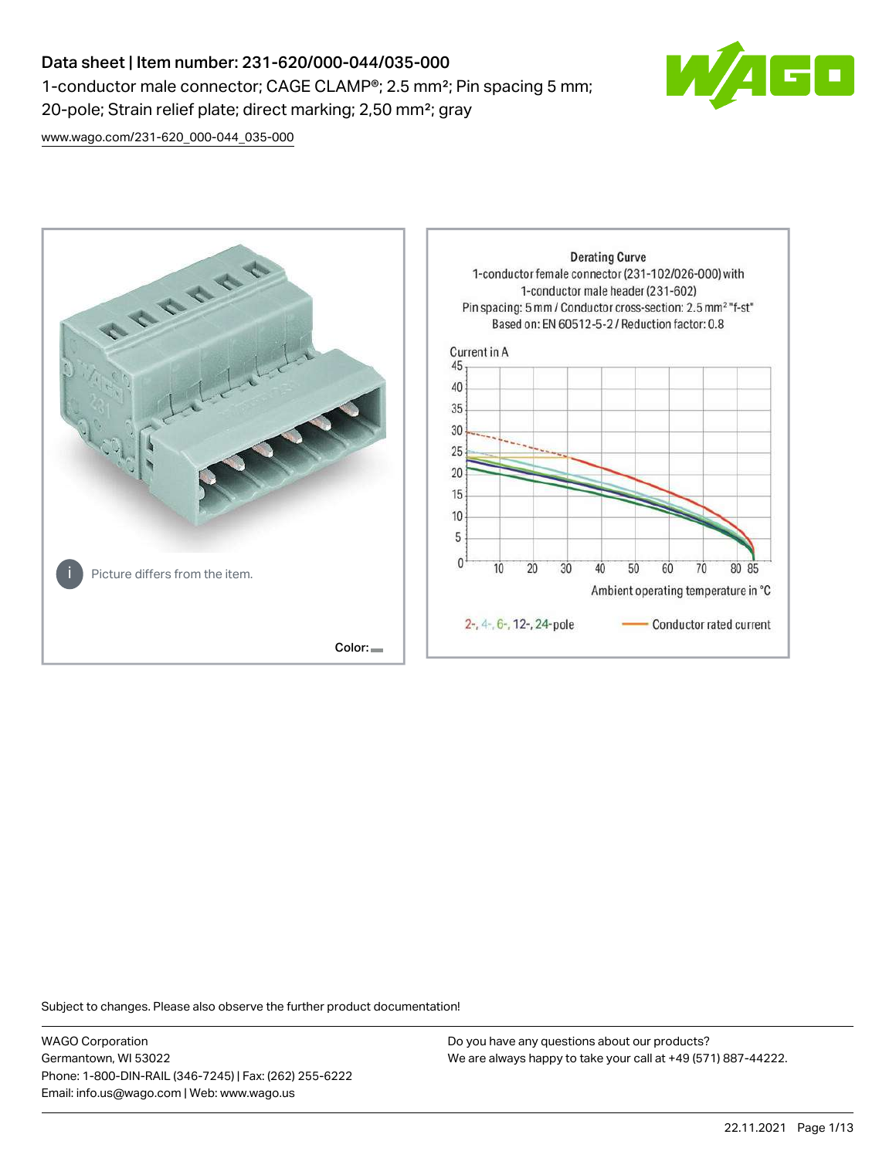# Data sheet | Item number: 231-620/000-044/035-000 1-conductor male connector; CAGE CLAMP®; 2.5 mm²; Pin spacing 5 mm; 20-pole; Strain relief plate; direct marking; 2,50 mm²; gray



[www.wago.com/231-620\\_000-044\\_035-000](http://www.wago.com/231-620_000-044_035-000)



Subject to changes. Please also observe the further product documentation!

WAGO Corporation Germantown, WI 53022 Phone: 1-800-DIN-RAIL (346-7245) | Fax: (262) 255-6222 Email: info.us@wago.com | Web: www.wago.us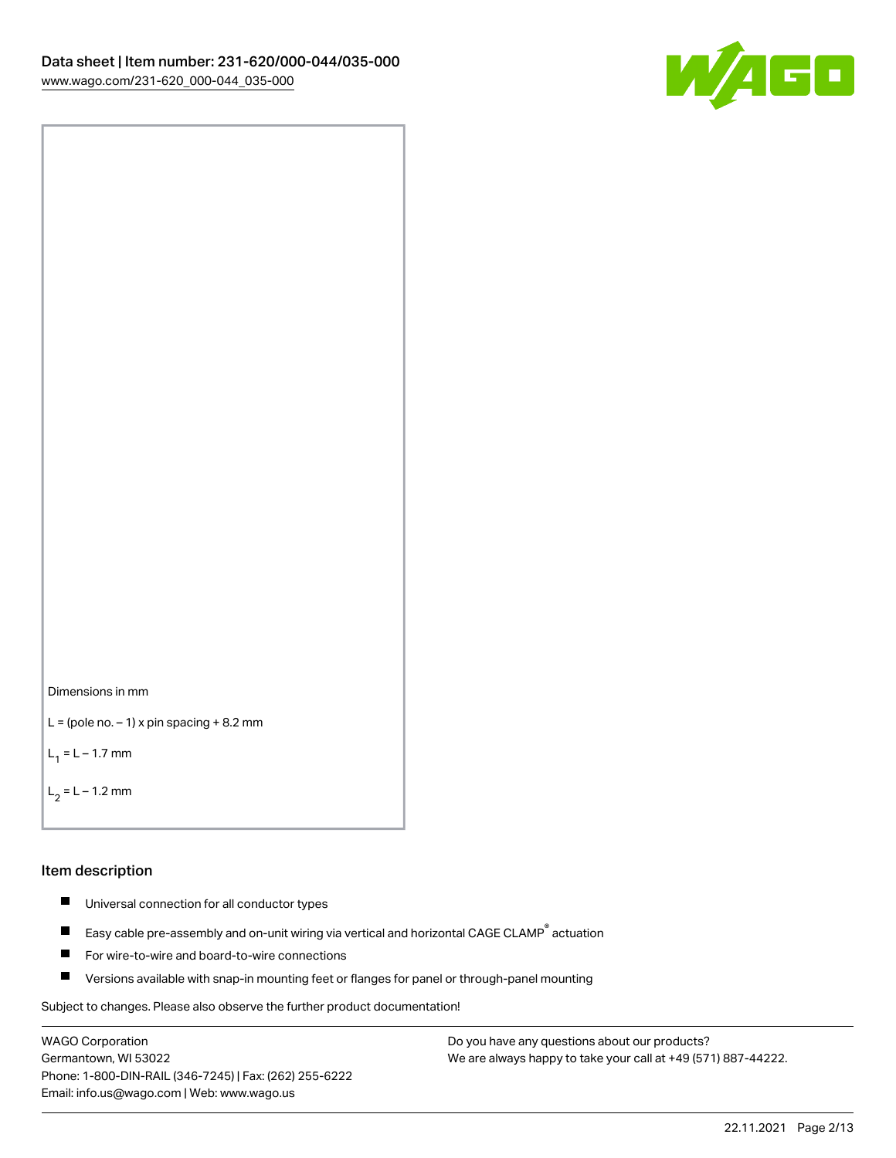



```
L = (pole no. -1) x pin spacing +8.2 mm
```
 $L_1 = L - 1.7$  mm

```
L_2 = L - 1.2 mm
```
#### Item description

- $\blacksquare$ Universal connection for all conductor types
- Easy cable pre-assembly and on-unit wiring via vertical and horizontal CAGE CLAMP<sup>®</sup> actuation  $\blacksquare$
- $\blacksquare$ For wire-to-wire and board-to-wire connections
- $\blacksquare$ Versions available with snap-in mounting feet or flanges for panel or through-panel mounting

Subject to changes. Please also observe the further product documentation!

WAGO Corporation Germantown, WI 53022 Phone: 1-800-DIN-RAIL (346-7245) | Fax: (262) 255-6222 Email: info.us@wago.com | Web: www.wago.us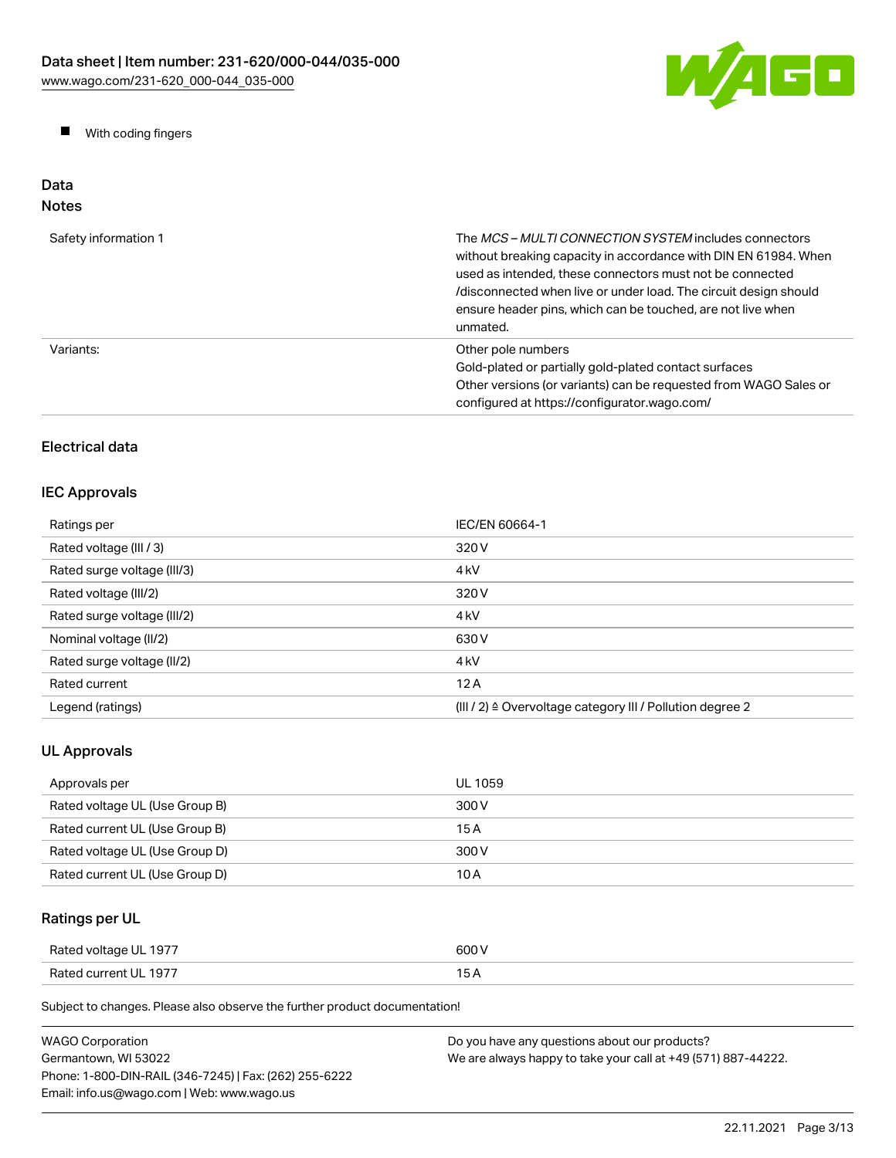

 $\blacksquare$ With coding fingers

#### Data Notes

| Safety information 1 | The MCS-MULTI CONNECTION SYSTEM includes connectors<br>without breaking capacity in accordance with DIN EN 61984. When<br>used as intended, these connectors must not be connected<br>/disconnected when live or under load. The circuit design should<br>ensure header pins, which can be touched, are not live when<br>unmated. |
|----------------------|-----------------------------------------------------------------------------------------------------------------------------------------------------------------------------------------------------------------------------------------------------------------------------------------------------------------------------------|
| Variants:            | Other pole numbers<br>Gold-plated or partially gold-plated contact surfaces<br>Other versions (or variants) can be requested from WAGO Sales or<br>configured at https://configurator.wago.com/                                                                                                                                   |

# Electrical data

## IEC Approvals

| Ratings per                 | IEC/EN 60664-1                                            |
|-----------------------------|-----------------------------------------------------------|
| Rated voltage (III / 3)     | 320 V                                                     |
| Rated surge voltage (III/3) | 4 <sub>kV</sub>                                           |
| Rated voltage (III/2)       | 320 V                                                     |
| Rated surge voltage (III/2) | 4 <sub>k</sub> V                                          |
| Nominal voltage (II/2)      | 630 V                                                     |
| Rated surge voltage (II/2)  | 4 <sub>k</sub> V                                          |
| Rated current               | 12A                                                       |
| Legend (ratings)            | (III / 2) ≙ Overvoltage category III / Pollution degree 2 |

# UL Approvals

| Approvals per                  | UL 1059 |
|--------------------------------|---------|
| Rated voltage UL (Use Group B) | 300 V   |
| Rated current UL (Use Group B) | 15 A    |
| Rated voltage UL (Use Group D) | 300 V   |
| Rated current UL (Use Group D) | 10 A    |

# Ratings per UL

| Rated voltage UL 1977 | 600 V |
|-----------------------|-------|
| Rated current UL 1977 | 15 A  |

Subject to changes. Please also observe the further product documentation!

| WAGO Corporation                                       | Do you have any questions about our products?                 |
|--------------------------------------------------------|---------------------------------------------------------------|
| Germantown, WI 53022                                   | We are always happy to take your call at +49 (571) 887-44222. |
| Phone: 1-800-DIN-RAIL (346-7245)   Fax: (262) 255-6222 |                                                               |
| Email: info.us@wago.com   Web: www.wago.us             |                                                               |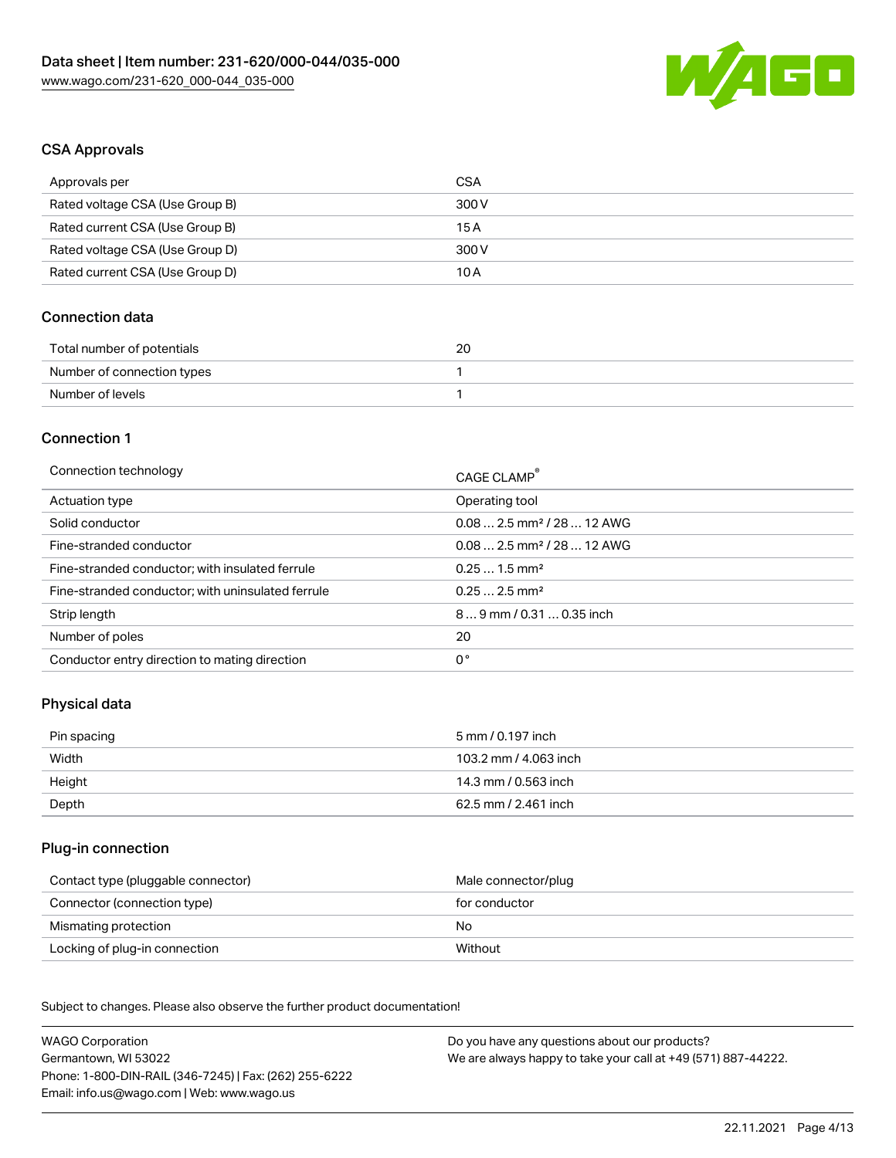

## CSA Approvals

| Approvals per                   | CSA   |
|---------------------------------|-------|
| Rated voltage CSA (Use Group B) | 300 V |
| Rated current CSA (Use Group B) | 15 A  |
| Rated voltage CSA (Use Group D) | 300 V |
| Rated current CSA (Use Group D) | 10 A  |

#### Connection data

| Total number of potentials | 20 |
|----------------------------|----|
| Number of connection types |    |
| Number of levels           |    |

#### Connection 1

| Connection technology                             | CAGE CLAMP <sup>®</sup>                 |
|---------------------------------------------------|-----------------------------------------|
| Actuation type                                    | Operating tool                          |
| Solid conductor                                   | $0.082.5$ mm <sup>2</sup> / 28  12 AWG  |
| Fine-stranded conductor                           | $0.08$ 2.5 mm <sup>2</sup> / 28  12 AWG |
| Fine-stranded conductor; with insulated ferrule   | $0.251.5$ mm <sup>2</sup>               |
| Fine-stranded conductor; with uninsulated ferrule | $0.252.5$ mm <sup>2</sup>               |
| Strip length                                      | 89 mm / 0.31  0.35 inch                 |
| Number of poles                                   | 20                                      |
| Conductor entry direction to mating direction     | 0°                                      |
|                                                   |                                         |

### Physical data

| Pin spacing | 5 mm / 0.197 inch     |
|-------------|-----------------------|
| Width       | 103.2 mm / 4.063 inch |
| Height      | 14.3 mm / 0.563 inch  |
| Depth       | 62.5 mm / 2.461 inch  |

#### Plug-in connection

| Contact type (pluggable connector) | Male connector/plug |
|------------------------------------|---------------------|
| Connector (connection type)        | for conductor       |
| Mismating protection               | No.                 |
| Locking of plug-in connection      | Without             |

Subject to changes. Please also observe the further product documentation! Material data

| <b>WAGO Corporation</b>                                | Do you have any questions about our products?                 |
|--------------------------------------------------------|---------------------------------------------------------------|
| Germantown, WI 53022                                   | We are always happy to take your call at +49 (571) 887-44222. |
| Phone: 1-800-DIN-RAIL (346-7245)   Fax: (262) 255-6222 |                                                               |
| Email: info.us@wago.com   Web: www.wago.us             |                                                               |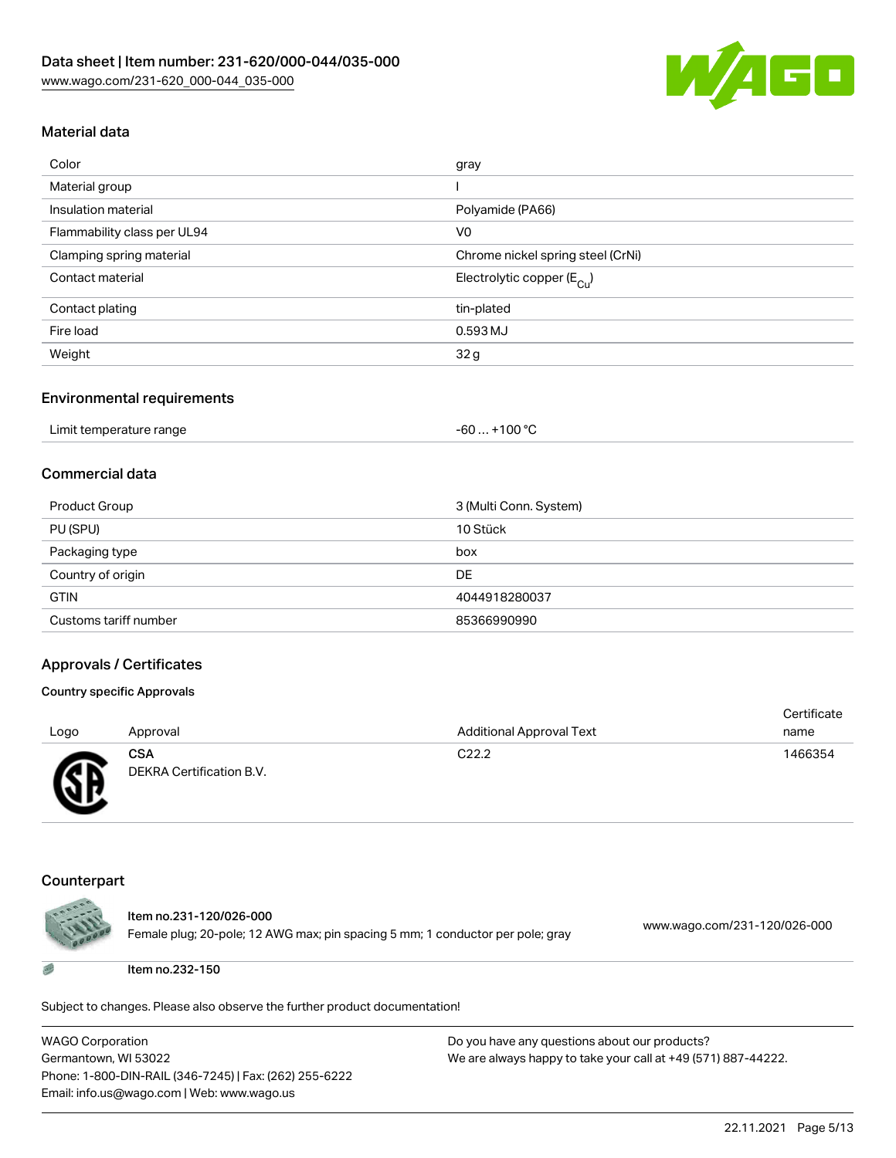

# Material data

| Color                       | gray                                   |
|-----------------------------|----------------------------------------|
| Material group              |                                        |
| Insulation material         | Polyamide (PA66)                       |
| Flammability class per UL94 | V <sub>0</sub>                         |
| Clamping spring material    | Chrome nickel spring steel (CrNi)      |
| Contact material            | Electrolytic copper (E <sub>Cu</sub> ) |
| Contact plating             | tin-plated                             |
| Fire load                   | 0.593 MJ                               |
| Weight                      | 32g                                    |

#### Environmental requirements

| Limit temperature range | . +100 °C<br>$-60$ |
|-------------------------|--------------------|
|-------------------------|--------------------|

#### Commercial data

| Product Group         | 3 (Multi Conn. System) |
|-----------------------|------------------------|
| PU (SPU)              | 10 Stück               |
| Packaging type        | box                    |
| Country of origin     | DE                     |
| <b>GTIN</b>           | 4044918280037          |
| Customs tariff number | 85366990990            |

#### Approvals / Certificates

#### Country specific Approvals

| Logo           | Approval                               | <b>Additional Approval Text</b> | Certificate<br>name |
|----------------|----------------------------------------|---------------------------------|---------------------|
| $\mathbb{R}^n$ | <b>CSA</b><br>DEKRA Certification B.V. | C <sub>22.2</sub>               | 1466354             |

#### Counterpart



Item no.231-120/026-000 Female plug; 20-pole; 12 AWG max; pin spacing 5 mm; 1 conductor per pole; gray [www.wago.com/231-120/026-000](https://www.wago.com/231-120/026-000)

Item no.232-150

Subject to changes. Please also observe the further product documentation!

| WAGO Corporation                                       |
|--------------------------------------------------------|
| Germantown, WI 53022                                   |
| Phone: 1-800-DIN-RAIL (346-7245)   Fax: (262) 255-6222 |
| Email: info.us@wago.com   Web: www.wago.us             |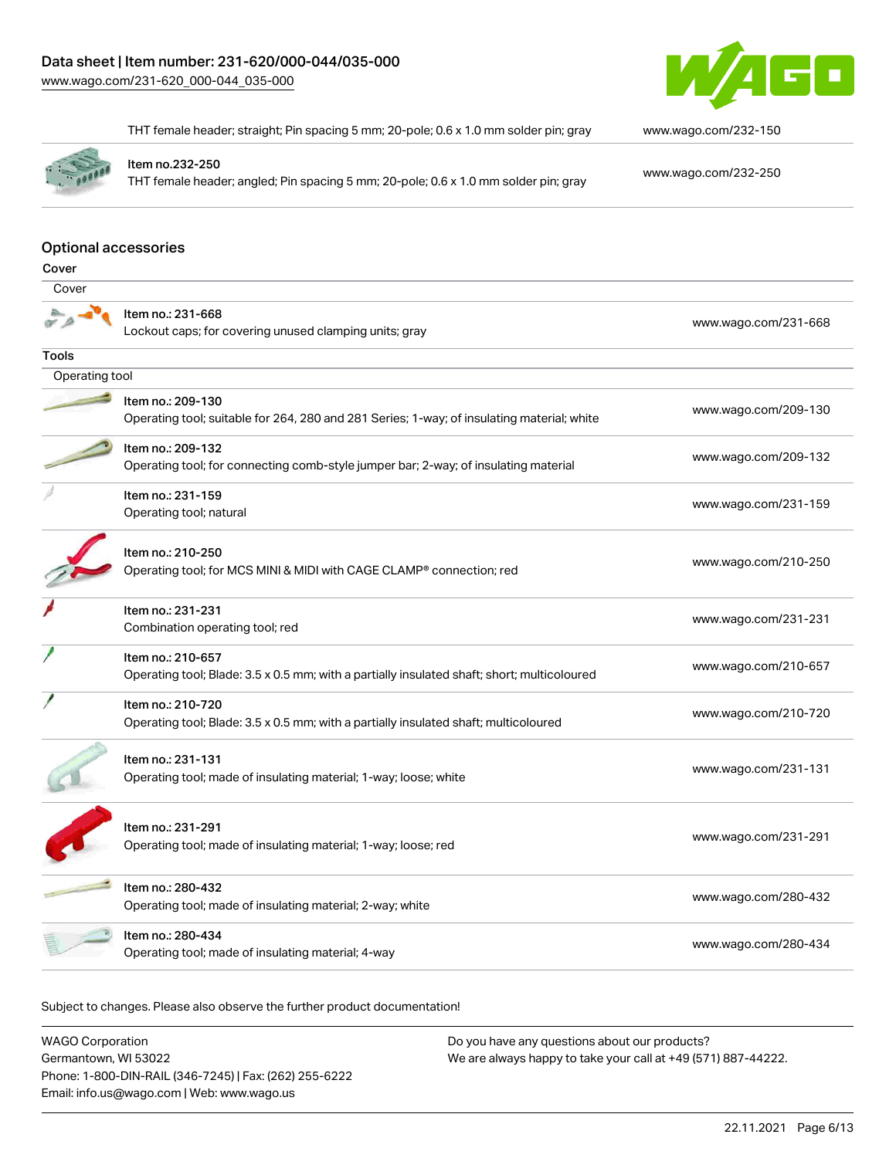

THT female header; straight; Pin spacing 5 mm; 20-pole; 0.6 x 1.0 mm solder pin; gray [www.wago.com/232-150](https://www.wago.com/232-150)



Item no.232-250

THT female header; angled; Pin spacing 5 mm; 20-pole; 0.6 x 1.0 mm solder pin; gray [www.wago.com/232-250](https://www.wago.com/232-250)

#### Optional accessories

| Cover          |                                                                                                                  |                      |
|----------------|------------------------------------------------------------------------------------------------------------------|----------------------|
| Cover          |                                                                                                                  |                      |
|                | Item no.: 231-668<br>Lockout caps; for covering unused clamping units; gray                                      | www.wago.com/231-668 |
| Tools          |                                                                                                                  |                      |
| Operating tool |                                                                                                                  |                      |
|                | Item no.: 209-130<br>Operating tool; suitable for 264, 280 and 281 Series; 1-way; of insulating material; white  | www.wago.com/209-130 |
|                | Item no.: 209-132<br>Operating tool; for connecting comb-style jumper bar; 2-way; of insulating material         | www.wago.com/209-132 |
|                | Item no.: 231-159<br>Operating tool; natural                                                                     | www.wago.com/231-159 |
|                | Item no.: 210-250<br>Operating tool; for MCS MINI & MIDI with CAGE CLAMP® connection; red                        | www.wago.com/210-250 |
|                | Item no.: 231-231<br>Combination operating tool; red                                                             | www.wago.com/231-231 |
|                | Item no.: 210-657<br>Operating tool; Blade: 3.5 x 0.5 mm; with a partially insulated shaft; short; multicoloured | www.wago.com/210-657 |
|                | Item no.: 210-720<br>Operating tool; Blade: 3.5 x 0.5 mm; with a partially insulated shaft; multicoloured        | www.wago.com/210-720 |
|                | Item no.: 231-131<br>Operating tool; made of insulating material; 1-way; loose; white                            | www.wago.com/231-131 |
|                | Item no.: 231-291<br>Operating tool; made of insulating material; 1-way; loose; red                              | www.wago.com/231-291 |
|                | Item no.: 280-432<br>Operating tool; made of insulating material; 2-way; white                                   | www.wago.com/280-432 |
|                | Item no.: 280-434<br>Operating tool; made of insulating material; 4-way                                          | www.wago.com/280-434 |
|                |                                                                                                                  |                      |

Subject to changes. Please also observe the further product documentation!

WAGO Corporation Germantown, WI 53022 Phone: 1-800-DIN-RAIL (346-7245) | Fax: (262) 255-6222 Email: info.us@wago.com | Web: www.wago.us Do you have any questions about our products? We are always happy to take your call at +49 (571) 887-44222.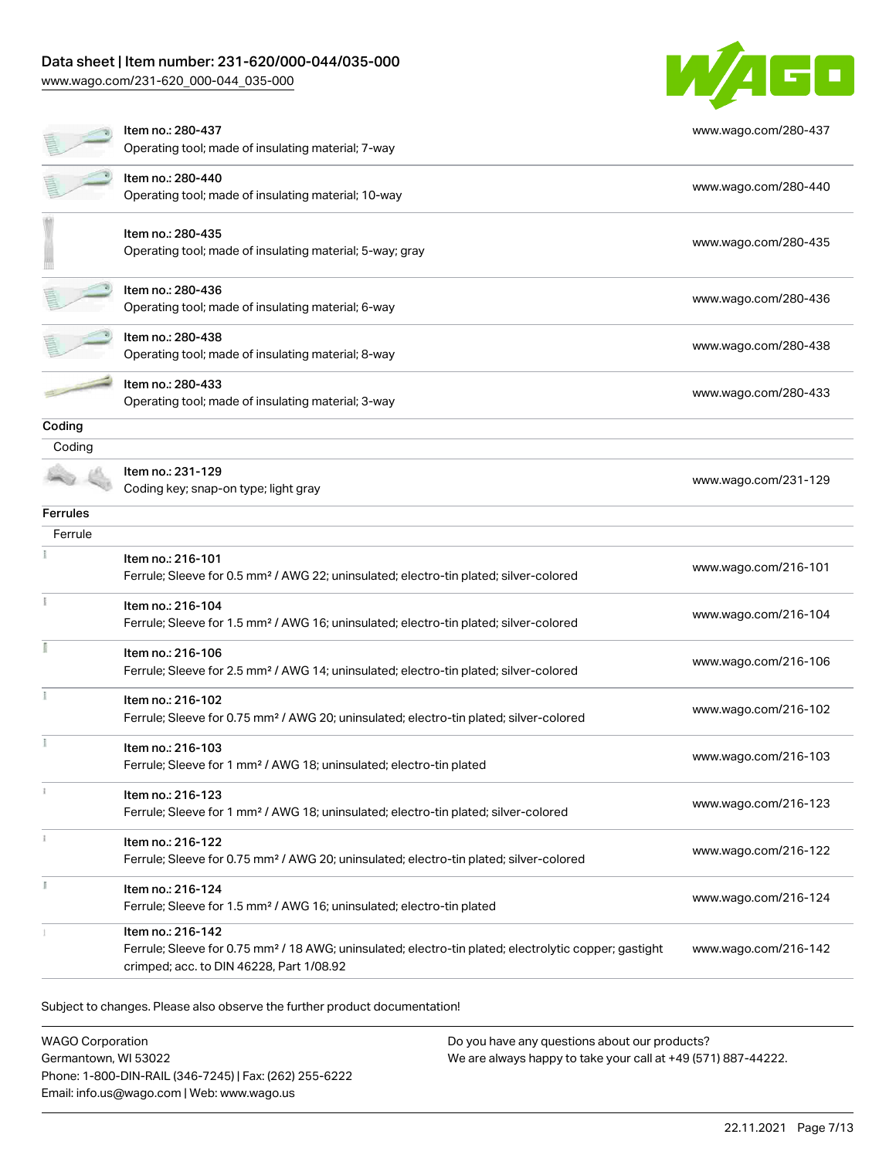[www.wago.com/231-620\\_000-044\\_035-000](http://www.wago.com/231-620_000-044_035-000)



|          | Item no.: 280-437<br>Operating tool; made of insulating material; 7-way                                                                                                            | www.wago.com/280-437 |
|----------|------------------------------------------------------------------------------------------------------------------------------------------------------------------------------------|----------------------|
|          | Item no.: 280-440<br>Operating tool; made of insulating material; 10-way                                                                                                           | www.wago.com/280-440 |
|          | Item no.: 280-435<br>Operating tool; made of insulating material; 5-way; gray                                                                                                      | www.wago.com/280-435 |
|          | Item no.: 280-436<br>Operating tool; made of insulating material; 6-way                                                                                                            | www.wago.com/280-436 |
|          | Item no.: 280-438<br>Operating tool; made of insulating material; 8-way                                                                                                            | www.wago.com/280-438 |
|          | Item no.: 280-433<br>Operating tool; made of insulating material; 3-way                                                                                                            | www.wago.com/280-433 |
| Coding   |                                                                                                                                                                                    |                      |
| Coding   |                                                                                                                                                                                    |                      |
|          | Item no.: 231-129<br>Coding key; snap-on type; light gray                                                                                                                          | www.wago.com/231-129 |
| Ferrules |                                                                                                                                                                                    |                      |
| Ferrule  |                                                                                                                                                                                    |                      |
|          | Item no.: 216-101<br>Ferrule; Sleeve for 0.5 mm <sup>2</sup> / AWG 22; uninsulated; electro-tin plated; silver-colored                                                             | www.wago.com/216-101 |
|          | Item no.: 216-104<br>Ferrule; Sleeve for 1.5 mm <sup>2</sup> / AWG 16; uninsulated; electro-tin plated; silver-colored                                                             | www.wago.com/216-104 |
|          | Item no.: 216-106<br>Ferrule; Sleeve for 2.5 mm <sup>2</sup> / AWG 14; uninsulated; electro-tin plated; silver-colored                                                             | www.wago.com/216-106 |
|          | Item no.: 216-102<br>Ferrule; Sleeve for 0.75 mm <sup>2</sup> / AWG 20; uninsulated; electro-tin plated; silver-colored                                                            | www.wago.com/216-102 |
|          | Item no.: 216-103<br>Ferrule; Sleeve for 1 mm <sup>2</sup> / AWG 18; uninsulated; electro-tin plated                                                                               | www.wago.com/216-103 |
|          | Item no.: 216-123<br>Ferrule; Sleeve for 1 mm <sup>2</sup> / AWG 18; uninsulated; electro-tin plated; silver-colored                                                               | www.wago.com/216-123 |
|          | Item no.: 216-122<br>Ferrule; Sleeve for 0.75 mm <sup>2</sup> / AWG 20; uninsulated; electro-tin plated; silver-colored                                                            | www.wago.com/216-122 |
|          | Item no.: 216-124<br>Ferrule; Sleeve for 1.5 mm <sup>2</sup> / AWG 16; uninsulated; electro-tin plated                                                                             | www.wago.com/216-124 |
|          | Item no.: 216-142<br>Ferrule; Sleeve for 0.75 mm <sup>2</sup> / 18 AWG; uninsulated; electro-tin plated; electrolytic copper; gastight<br>crimped; acc. to DIN 46228, Part 1/08.92 | www.wago.com/216-142 |

Subject to changes. Please also observe the further product documentation!

WAGO Corporation Germantown, WI 53022 Phone: 1-800-DIN-RAIL (346-7245) | Fax: (262) 255-6222 Email: info.us@wago.com | Web: www.wago.us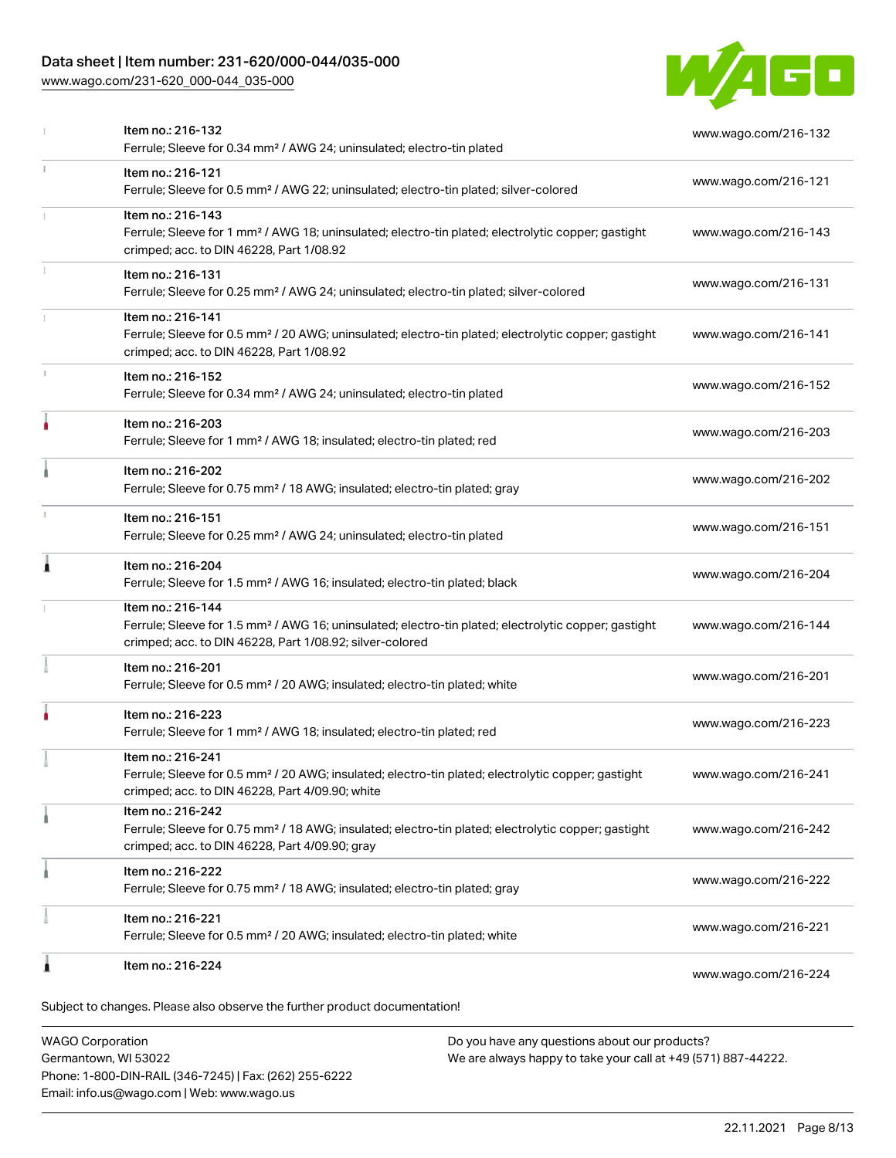[www.wago.com/231-620\\_000-044\\_035-000](http://www.wago.com/231-620_000-044_035-000)



|    | Subject to changes. Please also observe the further product documentation!                                                                                                                        |                      |
|----|---------------------------------------------------------------------------------------------------------------------------------------------------------------------------------------------------|----------------------|
| 1  | Item no.: 216-224                                                                                                                                                                                 | www.wago.com/216-224 |
|    | Item no.: 216-221<br>Ferrule; Sleeve for 0.5 mm <sup>2</sup> / 20 AWG; insulated; electro-tin plated; white                                                                                       | www.wago.com/216-221 |
|    | Item no.: 216-222<br>Ferrule; Sleeve for 0.75 mm <sup>2</sup> / 18 AWG; insulated; electro-tin plated; gray                                                                                       | www.wago.com/216-222 |
|    | Item no.: 216-242<br>Ferrule; Sleeve for 0.75 mm <sup>2</sup> / 18 AWG; insulated; electro-tin plated; electrolytic copper; gastight<br>crimped; acc. to DIN 46228, Part 4/09.90; gray            | www.wago.com/216-242 |
|    | Item no.: 216-241<br>Ferrule; Sleeve for 0.5 mm <sup>2</sup> / 20 AWG; insulated; electro-tin plated; electrolytic copper; gastight<br>crimped; acc. to DIN 46228, Part 4/09.90; white            | www.wago.com/216-241 |
|    | Item no.: 216-223<br>Ferrule; Sleeve for 1 mm <sup>2</sup> / AWG 18; insulated; electro-tin plated; red                                                                                           | www.wago.com/216-223 |
|    | Item no.: 216-201<br>Ferrule; Sleeve for 0.5 mm <sup>2</sup> / 20 AWG; insulated; electro-tin plated; white                                                                                       | www.wago.com/216-201 |
|    | Item no.: 216-144<br>Ferrule; Sleeve for 1.5 mm <sup>2</sup> / AWG 16; uninsulated; electro-tin plated; electrolytic copper; gastight<br>crimped; acc. to DIN 46228, Part 1/08.92; silver-colored | www.wago.com/216-144 |
| Â  | Item no.: 216-204<br>Ferrule; Sleeve for 1.5 mm <sup>2</sup> / AWG 16; insulated; electro-tin plated; black                                                                                       | www.wago.com/216-204 |
|    | Item no.: 216-151<br>Ferrule; Sleeve for 0.25 mm <sup>2</sup> / AWG 24; uninsulated; electro-tin plated                                                                                           | www.wago.com/216-151 |
|    | Item no.: 216-202<br>Ferrule; Sleeve for 0.75 mm <sup>2</sup> / 18 AWG; insulated; electro-tin plated; gray                                                                                       | www.wago.com/216-202 |
| ۸  | Item no.: 216-203<br>Ferrule; Sleeve for 1 mm <sup>2</sup> / AWG 18; insulated; electro-tin plated; red                                                                                           | www.wago.com/216-203 |
|    | Item no.: 216-152<br>Ferrule; Sleeve for 0.34 mm <sup>2</sup> / AWG 24; uninsulated; electro-tin plated                                                                                           | www.wago.com/216-152 |
|    | Item no.: 216-141<br>Ferrule; Sleeve for 0.5 mm <sup>2</sup> / 20 AWG; uninsulated; electro-tin plated; electrolytic copper; gastight<br>crimped; acc. to DIN 46228, Part 1/08.92                 | www.wago.com/216-141 |
|    | Item no.: 216-131<br>Ferrule; Sleeve for 0.25 mm <sup>2</sup> / AWG 24; uninsulated; electro-tin plated; silver-colored                                                                           | www.wago.com/216-131 |
|    | Item no.: 216-143<br>Ferrule; Sleeve for 1 mm <sup>2</sup> / AWG 18; uninsulated; electro-tin plated; electrolytic copper; gastight<br>crimped; acc. to DIN 46228, Part 1/08.92                   | www.wago.com/216-143 |
| î. | Item no.: 216-121<br>Ferrule; Sleeve for 0.5 mm <sup>2</sup> / AWG 22; uninsulated; electro-tin plated; silver-colored                                                                            | www.wago.com/216-121 |
|    | Item no.: 216-132<br>Ferrule; Sleeve for 0.34 mm <sup>2</sup> / AWG 24; uninsulated; electro-tin plated                                                                                           | www.wago.com/216-132 |

WAGO Corporation Germantown, WI 53022 Phone: 1-800-DIN-RAIL (346-7245) | Fax: (262) 255-6222 Email: info.us@wago.com | Web: www.wago.us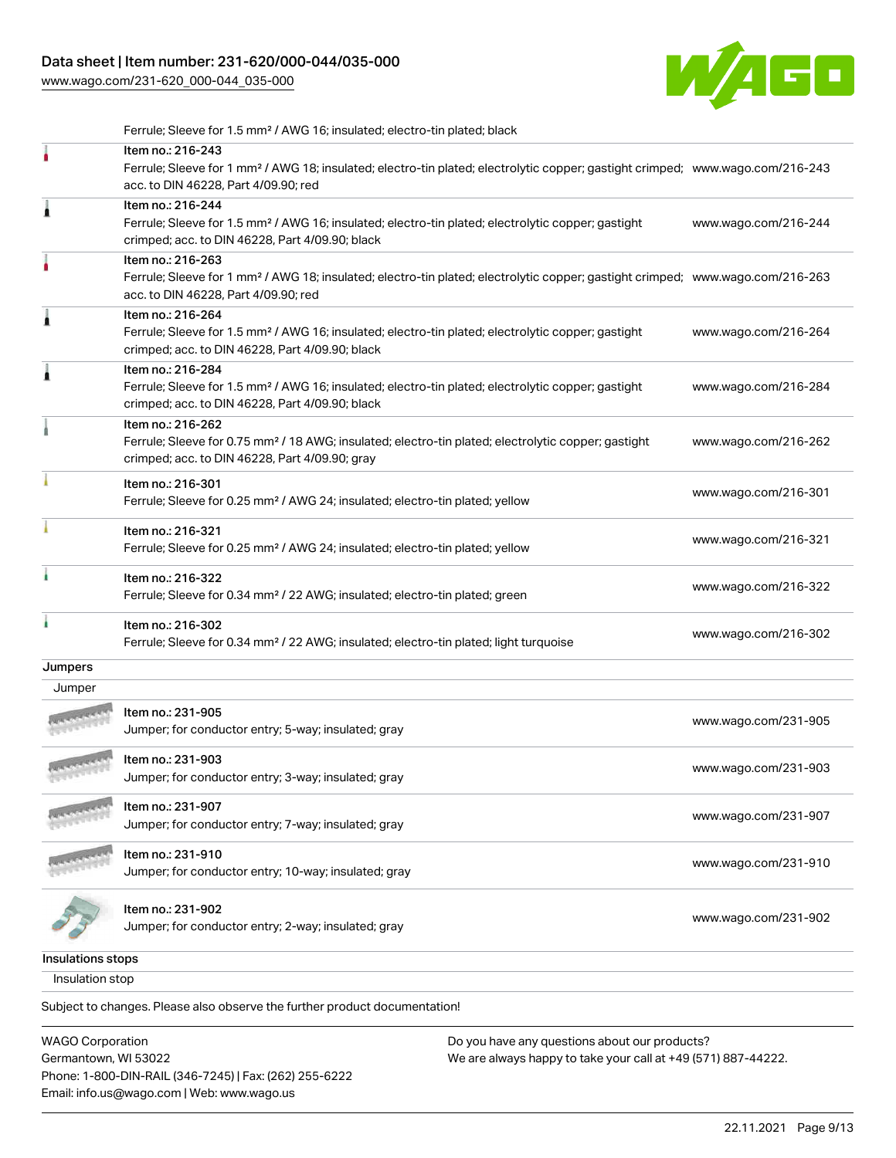[www.wago.com/231-620\\_000-044\\_035-000](http://www.wago.com/231-620_000-044_035-000)



|                         | Ferrule; Sleeve for 1.5 mm <sup>2</sup> / AWG 16; insulated; electro-tin plated; black                                                                                                                  |                      |
|-------------------------|---------------------------------------------------------------------------------------------------------------------------------------------------------------------------------------------------------|----------------------|
|                         | Item no.: 216-243<br>Ferrule; Sleeve for 1 mm <sup>2</sup> / AWG 18; insulated; electro-tin plated; electrolytic copper; gastight crimped; www.wago.com/216-243<br>acc. to DIN 46228, Part 4/09.90; red |                      |
| 1                       | Item no.: 216-244<br>Ferrule; Sleeve for 1.5 mm <sup>2</sup> / AWG 16; insulated; electro-tin plated; electrolytic copper; gastight<br>crimped; acc. to DIN 46228, Part 4/09.90; black                  | www.wago.com/216-244 |
| ٥                       | Item no.: 216-263<br>Ferrule; Sleeve for 1 mm <sup>2</sup> / AWG 18; insulated; electro-tin plated; electrolytic copper; gastight crimped; www.wago.com/216-263<br>acc. to DIN 46228, Part 4/09.90; red |                      |
| 1                       | Item no.: 216-264<br>Ferrule; Sleeve for 1.5 mm <sup>2</sup> / AWG 16; insulated; electro-tin plated; electrolytic copper; gastight<br>crimped; acc. to DIN 46228, Part 4/09.90; black                  | www.wago.com/216-264 |
| 1                       | Item no.: 216-284<br>Ferrule; Sleeve for 1.5 mm <sup>2</sup> / AWG 16; insulated; electro-tin plated; electrolytic copper; gastight<br>crimped; acc. to DIN 46228, Part 4/09.90; black                  | www.wago.com/216-284 |
|                         | Item no.: 216-262<br>Ferrule; Sleeve for 0.75 mm <sup>2</sup> / 18 AWG; insulated; electro-tin plated; electrolytic copper; gastight<br>crimped; acc. to DIN 46228, Part 4/09.90; gray                  | www.wago.com/216-262 |
|                         | Item no.: 216-301<br>Ferrule; Sleeve for 0.25 mm <sup>2</sup> / AWG 24; insulated; electro-tin plated; yellow                                                                                           | www.wago.com/216-301 |
|                         | Item no.: 216-321<br>Ferrule; Sleeve for 0.25 mm <sup>2</sup> / AWG 24; insulated; electro-tin plated; yellow                                                                                           | www.wago.com/216-321 |
|                         | Item no.: 216-322<br>Ferrule; Sleeve for 0.34 mm <sup>2</sup> / 22 AWG; insulated; electro-tin plated; green                                                                                            | www.wago.com/216-322 |
|                         | Item no.: 216-302<br>Ferrule; Sleeve for 0.34 mm <sup>2</sup> / 22 AWG; insulated; electro-tin plated; light turquoise                                                                                  | www.wago.com/216-302 |
| Jumpers                 |                                                                                                                                                                                                         |                      |
| Jumper                  |                                                                                                                                                                                                         |                      |
|                         | Item no.: 231-905<br>Jumper; for conductor entry; 5-way; insulated; gray                                                                                                                                | www.wago.com/231-905 |
|                         | ltem no.: 231-903<br>Jumper; for conductor entry; 3-way; insulated; gray                                                                                                                                | www.wago.com/231-903 |
|                         | Item no.: 231-907<br>Jumper; for conductor entry; 7-way; insulated; gray                                                                                                                                | www.wago.com/231-907 |
|                         | Item no.: 231-910<br>Jumper; for conductor entry; 10-way; insulated; gray                                                                                                                               | www.wago.com/231-910 |
|                         | Item no.: 231-902<br>Jumper; for conductor entry; 2-way; insulated; gray                                                                                                                                | www.wago.com/231-902 |
| Insulations stops       |                                                                                                                                                                                                         |                      |
| Insulation stop         |                                                                                                                                                                                                         |                      |
|                         | Subject to changes. Please also observe the further product documentation!                                                                                                                              |                      |
| <b>WAGO Corporation</b> | Do you have any questions about our products?                                                                                                                                                           |                      |

WAGO Corporation Germantown, WI 53022 Phone: 1-800-DIN-RAIL (346-7245) | Fax: (262) 255-6222 Email: info.us@wago.com | Web: www.wago.us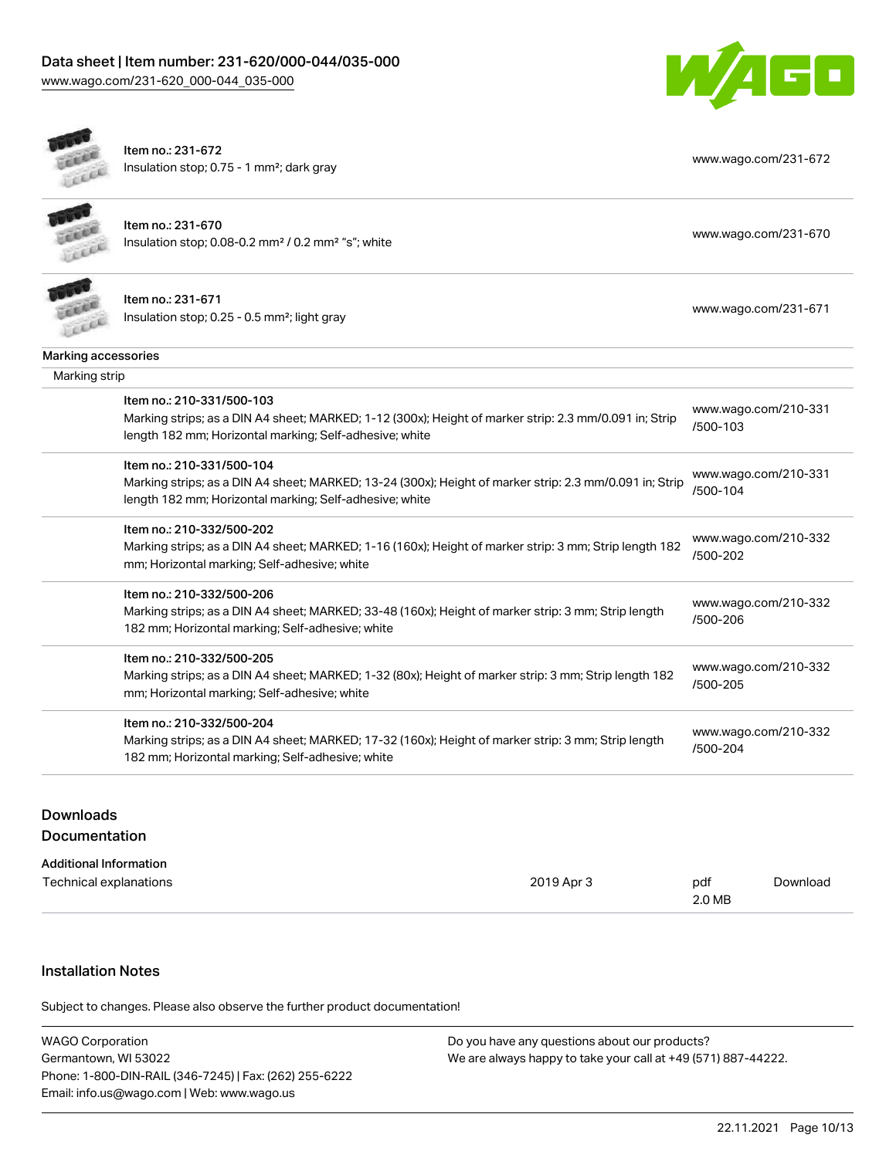[www.wago.com/231-620\\_000-044\\_035-000](http://www.wago.com/231-620_000-044_035-000)



| cice                | Item no.: 231-672<br>Insulation stop; 0.75 - 1 mm <sup>2</sup> ; dark gray                                                                                                                      | www.wago.com/231-672             |
|---------------------|-------------------------------------------------------------------------------------------------------------------------------------------------------------------------------------------------|----------------------------------|
|                     | Item no.: 231-670<br>Insulation stop; 0.08-0.2 mm <sup>2</sup> / 0.2 mm <sup>2</sup> "s"; white                                                                                                 | www.wago.com/231-670             |
|                     | Item no.: 231-671<br>Insulation stop; 0.25 - 0.5 mm <sup>2</sup> ; light gray                                                                                                                   | www.wago.com/231-671             |
| Marking accessories |                                                                                                                                                                                                 |                                  |
| Marking strip       |                                                                                                                                                                                                 |                                  |
|                     | Item no.: 210-331/500-103<br>Marking strips; as a DIN A4 sheet; MARKED; 1-12 (300x); Height of marker strip: 2.3 mm/0.091 in; Strip<br>length 182 mm; Horizontal marking; Self-adhesive; white  | www.wago.com/210-331<br>/500-103 |
|                     | Item no.: 210-331/500-104<br>Marking strips; as a DIN A4 sheet; MARKED; 13-24 (300x); Height of marker strip: 2.3 mm/0.091 in; Strip<br>length 182 mm; Horizontal marking; Self-adhesive; white | www.wago.com/210-331<br>/500-104 |
|                     | Item no.: 210-332/500-202<br>Marking strips; as a DIN A4 sheet; MARKED; 1-16 (160x); Height of marker strip: 3 mm; Strip length 182<br>mm; Horizontal marking; Self-adhesive; white             | www.wago.com/210-332<br>/500-202 |
|                     | Item no.: 210-332/500-206<br>Marking strips; as a DIN A4 sheet; MARKED; 33-48 (160x); Height of marker strip: 3 mm; Strip length<br>182 mm; Horizontal marking; Self-adhesive; white            | www.wago.com/210-332<br>/500-206 |
|                     | Item no.: 210-332/500-205<br>Marking strips; as a DIN A4 sheet; MARKED; 1-32 (80x); Height of marker strip: 3 mm; Strip length 182<br>mm; Horizontal marking; Self-adhesive; white              | www.wago.com/210-332<br>/500-205 |
|                     | Item no.: 210-332/500-204<br>Marking strips; as a DIN A4 sheet; MARKED; 17-32 (160x); Height of marker strip: 3 mm; Strip length<br>182 mm; Horizontal marking; Self-adhesive; white            | www.wago.com/210-332<br>/500-204 |
|                     |                                                                                                                                                                                                 |                                  |

# Downloads

# Documentation

| <b>Additional Information</b> |            |        |          |
|-------------------------------|------------|--------|----------|
| Technical explanations        | 2019 Apr 3 | pdf    | Download |
|                               |            | 2.0 MB |          |

## Installation Notes

Subject to changes. Please also observe the further product documentation!

| <b>WAGO Corporation</b>                                | Do you have any questions about our products?                 |  |
|--------------------------------------------------------|---------------------------------------------------------------|--|
| Germantown, WI 53022                                   | We are always happy to take your call at +49 (571) 887-44222. |  |
| Phone: 1-800-DIN-RAIL (346-7245)   Fax: (262) 255-6222 |                                                               |  |
| Email: info.us@wago.com   Web: www.wago.us             |                                                               |  |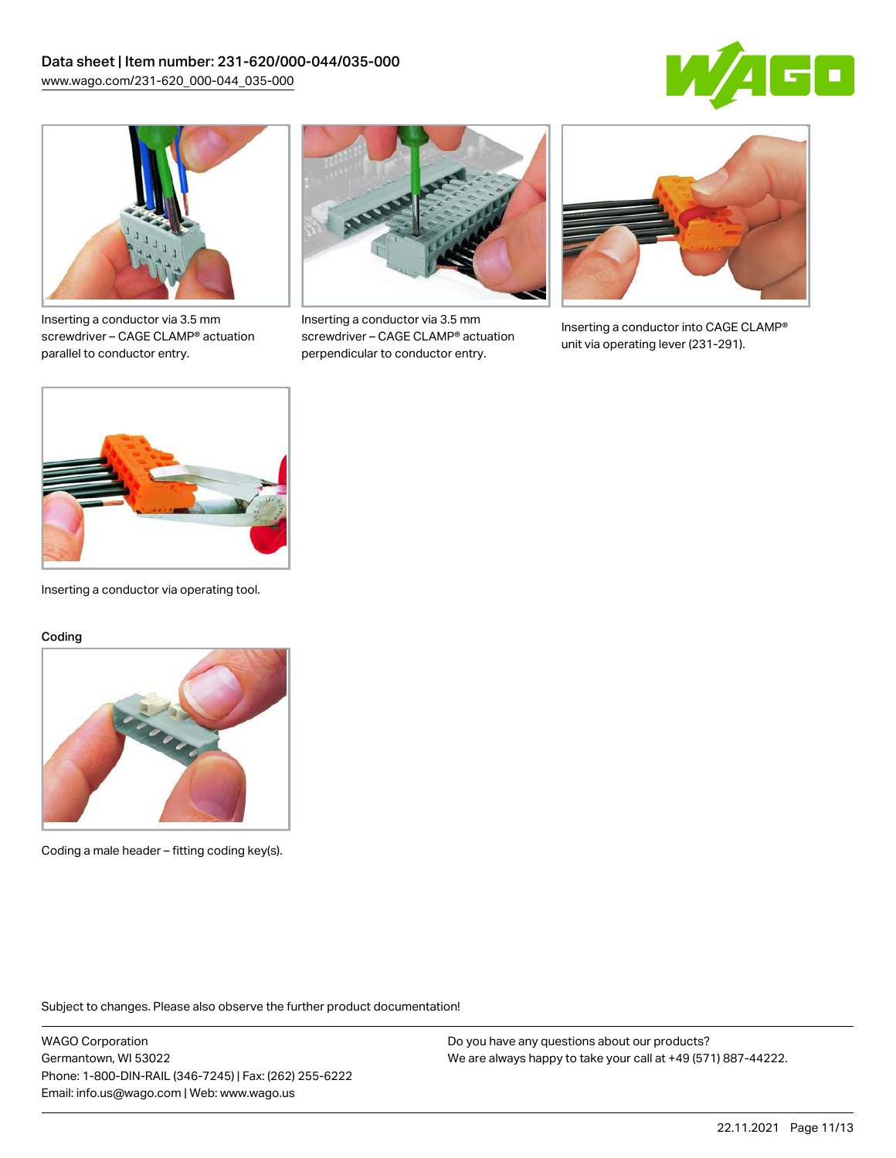



Inserting a conductor via 3.5 mm screwdriver – CAGE CLAMP® actuation parallel to conductor entry.



Inserting a conductor via 3.5 mm screwdriver – CAGE CLAMP® actuation perpendicular to conductor entry.



Inserting a conductor into CAGE CLAMP® unit via operating lever (231-291).



Inserting a conductor via operating tool.

#### Coding



Coding a male header – fitting coding key(s).

Subject to changes. Please also observe the further product documentation!

WAGO Corporation Germantown, WI 53022 Phone: 1-800-DIN-RAIL (346-7245) | Fax: (262) 255-6222 Email: info.us@wago.com | Web: www.wago.us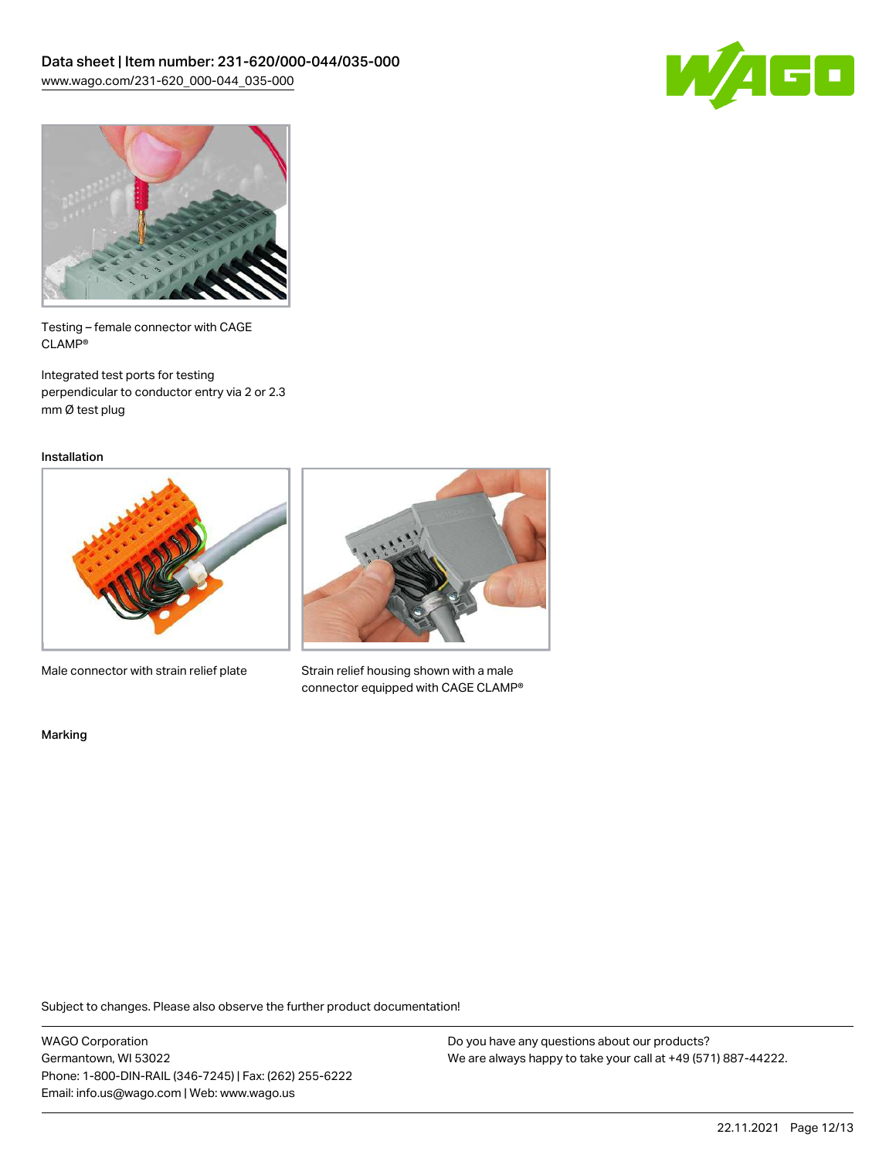



Testing – female connector with CAGE CLAMP®

Integrated test ports for testing perpendicular to conductor entry via 2 or 2.3 mm Ø test plug

Installation



Male connector with strain relief plate



Strain relief housing shown with a male connector equipped with CAGE CLAMP®

Marking

Subject to changes. Please also observe the further product documentation!

WAGO Corporation Germantown, WI 53022 Phone: 1-800-DIN-RAIL (346-7245) | Fax: (262) 255-6222 Email: info.us@wago.com | Web: www.wago.us